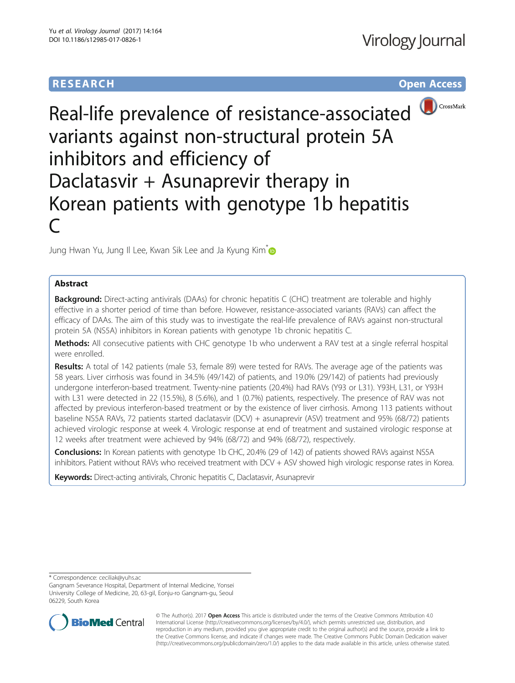# **RESEARCH CHE Open Access**



# Real-life prevalence of resistance-associated variants against non-structural protein 5A inhibitors and efficiency of Daclatasvir + Asunaprevir therapy in Korean patients with genotype 1b hepatitis C

Jung Hwan Yu, Jung II Lee, Kwan Sik Lee and Ja Kyung Kim **D** 

## Abstract

**Background:** Direct-acting antivirals (DAAs) for chronic hepatitis C (CHC) treatment are tolerable and highly effective in a shorter period of time than before. However, resistance-associated variants (RAVs) can affect the efficacy of DAAs. The aim of this study was to investigate the real-life prevalence of RAVs against non-structural protein 5A (NS5A) inhibitors in Korean patients with genotype 1b chronic hepatitis C.

Methods: All consecutive patients with CHC genotype 1b who underwent a RAV test at a single referral hospital were enrolled.

Results: A total of 142 patients (male 53, female 89) were tested for RAVs. The average age of the patients was 58 years. Liver cirrhosis was found in 34.5% (49/142) of patients, and 19.0% (29/142) of patients had previously undergone interferon-based treatment. Twenty-nine patients (20.4%) had RAVs (Y93 or L31). Y93H, L31, or Y93H with L31 were detected in 22 (15.5%), 8 (5.6%), and 1 (0.7%) patients, respectively. The presence of RAV was not affected by previous interferon-based treatment or by the existence of liver cirrhosis. Among 113 patients without baseline NS5A RAVs, 72 patients started daclatasvir (DCV) + asunaprevir (ASV) treatment and 95% (68/72) patients achieved virologic response at week 4. Virologic response at end of treatment and sustained virologic response at 12 weeks after treatment were achieved by 94% (68/72) and 94% (68/72), respectively.

Conclusions: In Korean patients with genotype 1b CHC, 20.4% (29 of 142) of patients showed RAVs against NS5A inhibitors. Patient without RAVs who received treatment with DCV + ASV showed high virologic response rates in Korea.

**Keywords:** Direct-acting antivirals, Chronic hepatitis C, Daclatasvir, Asunaprevir

\* Correspondence: [ceciliak@yuhs.ac](mailto:ceciliak@yuhs.ac)

Gangnam Severance Hospital, Department of Internal Medicine, Yonsei University College of Medicine, 20, 63-gil, Eonju-ro Gangnam-gu, Seoul 06229, South Korea



© The Author(s). 2017 **Open Access** This article is distributed under the terms of the Creative Commons Attribution 4.0 International License [\(http://creativecommons.org/licenses/by/4.0/](http://creativecommons.org/licenses/by/4.0/)), which permits unrestricted use, distribution, and reproduction in any medium, provided you give appropriate credit to the original author(s) and the source, provide a link to the Creative Commons license, and indicate if changes were made. The Creative Commons Public Domain Dedication waiver [\(http://creativecommons.org/publicdomain/zero/1.0/](http://creativecommons.org/publicdomain/zero/1.0/)) applies to the data made available in this article, unless otherwise stated.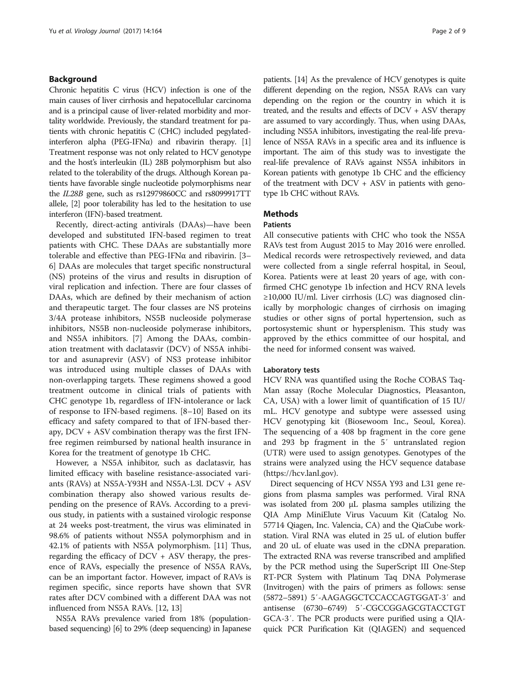#### Background

Chronic hepatitis C virus (HCV) infection is one of the main causes of liver cirrhosis and hepatocellular carcinoma and is a principal cause of liver-related morbidity and mortality worldwide. Previously, the standard treatment for patients with chronic hepatitis C (CHC) included pegylatedinterferon alpha (PEG-IFN $\alpha$ ) and ribavirin therapy. [[1](#page-7-0)] Treatment response was not only related to HCV genotype and the host's interleukin (IL) 28B polymorphism but also related to the tolerability of the drugs. Although Korean patients have favorable single nucleotide polymorphisms near the IL28B gene, such as rs12979860CC and rs8099917TT allele, [\[2\]](#page-7-0) poor tolerability has led to the hesitation to use interferon (IFN)-based treatment.

Recently, direct-acting antivirals (DAAs)—have been developed and substituted IFN-based regimen to treat patients with CHC. These DAAs are substantially more tolerable and effective than PEG-IFNα and ribavirin. [[3](#page-7-0)– [6\]](#page-7-0) DAAs are molecules that target specific nonstructural (NS) proteins of the virus and results in disruption of viral replication and infection. There are four classes of DAAs, which are defined by their mechanism of action and therapeutic target. The four classes are NS proteins 3/4A protease inhibitors, NS5B nucleoside polymerase inhibitors, NS5B non-nucleoside polymerase inhibitors, and NS5A inhibitors. [[7](#page-7-0)] Among the DAAs, combination treatment with daclatasvir (DCV) of NS5A inhibitor and asunaprevir (ASV) of NS3 protease inhibitor was introduced using multiple classes of DAAs with non-overlapping targets. These regimens showed a good treatment outcome in clinical trials of patients with CHC genotype 1b, regardless of IFN-intolerance or lack of response to IFN-based regimens. [[8](#page-7-0)–[10](#page-7-0)] Based on its efficacy and safety compared to that of IFN-based therapy, DCV + ASV combination therapy was the first IFNfree regimen reimbursed by national health insurance in Korea for the treatment of genotype 1b CHC.

However, a NS5A inhibitor, such as daclatasvir, has limited efficacy with baseline resistance-associated variants (RAVs) at NS5A-Y93H and NS5A-L3l. DCV + ASV combination therapy also showed various results depending on the presence of RAVs. According to a previous study, in patients with a sustained virologic response at 24 weeks post-treatment, the virus was eliminated in 98.6% of patients without NS5A polymorphism and in 42.1% of patients with NS5A polymorphism. [[11](#page-7-0)] Thus, regarding the efficacy of DCV + ASV therapy, the presence of RAVs, especially the presence of NS5A RAVs, can be an important factor. However, impact of RAVs is regimen specific, since reports have shown that SVR rates after DCV combined with a different DAA was not influenced from NS5A RAVs. [[12, 13\]](#page-7-0)

NS5A RAVs prevalence varied from 18% (populationbased sequencing) [[6](#page-7-0)] to 29% (deep sequencing) in Japanese patients. [[14\]](#page-7-0) As the prevalence of HCV genotypes is quite different depending on the region, NS5A RAVs can vary depending on the region or the country in which it is treated, and the results and effects of DCV + ASV therapy are assumed to vary accordingly. Thus, when using DAAs, including NS5A inhibitors, investigating the real-life prevalence of NS5A RAVs in a specific area and its influence is important. The aim of this study was to investigate the real-life prevalence of RAVs against NS5A inhibitors in Korean patients with genotype 1b CHC and the efficiency of the treatment with DCV + ASV in patients with genotype 1b CHC without RAVs.

### **Methods**

#### Patients

All consecutive patients with CHC who took the NS5A RAVs test from August 2015 to May 2016 were enrolled. Medical records were retrospectively reviewed, and data were collected from a single referral hospital, in Seoul, Korea. Patients were at least 20 years of age, with confirmed CHC genotype 1b infection and HCV RNA levels ≥10,000 IU/ml. Liver cirrhosis (LC) was diagnosed clinically by morphologic changes of cirrhosis on imaging studies or other signs of portal hypertension, such as portosystemic shunt or hypersplenism. This study was approved by the ethics committee of our hospital, and the need for informed consent was waived.

#### Laboratory tests

HCV RNA was quantified using the Roche COBAS Taq-Man assay (Roche Molecular Diagnostics, Pleasanton, CA, USA) with a lower limit of quantification of 15 IU/ mL. HCV genotype and subtype were assessed using HCV genotyping kit (Biosewoom Inc., Seoul, Korea). The sequencing of a 408 bp fragment in the core gene and 293 bp fragment in the 5′ untranslated region (UTR) were used to assign genotypes. Genotypes of the strains were analyzed using the HCV sequence database ([https://hcv.lanl.gov\)](https://hcv.lanl.gov).

Direct sequencing of HCV NS5A Y93 and L31 gene regions from plasma samples was performed. Viral RNA was isolated from 200 μL plasma samples utilizing the QIA Amp MiniElute Virus Vacuum Kit (Catalog No. 57714 Qiagen, Inc. Valencia, CA) and the QiaCube workstation. Viral RNA was eluted in 25 uL of elution buffer and 20 uL of eluate was used in the cDNA preparation. The extracted RNA was reverse transcribed and amplified by the PCR method using the SuperScript III One-Step RT-PCR System with Platinum Taq DNA Polymerase (Invitrogen) with the pairs of primers as follows: sense (5872–5891) 5′-AAGAGGCTCCACCAGTGGAT-3′ and antisense (6730–6749) 5′-CGCCGGAGCGTACCTGT GCA-3′. The PCR products were purified using a QIAquick PCR Purification Kit (QIAGEN) and sequenced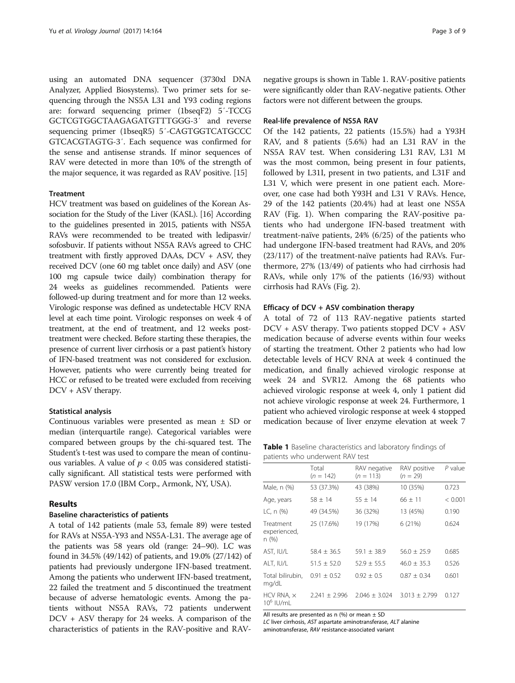using an automated DNA sequencer (3730xl DNA Analyzer, Applied Biosystems). Two primer sets for sequencing through the NS5A L31 and Y93 coding regions are: forward sequencing primer (1bseqF2) 5′-TCCG GCTCGTGGCTAAGAGATGTTTGGG-3′ and reverse sequencing primer (1bseqR5) 5′-CAGTGGTCATGCCC GTCACGTAGTG-3′. Each sequence was confirmed for the sense and antisense strands. If minor sequences of RAV were detected in more than 10% of the strength of the major sequence, it was regarded as RAV positive. [\[15](#page-7-0)]

#### **Treatment**

HCV treatment was based on guidelines of the Korean Association for the Study of the Liver (KASL). [\[16\]](#page-7-0) According to the guidelines presented in 2015, patients with NS5A RAVs were recommended to be treated with ledipasvir/ sofosbuvir. If patients without NS5A RAVs agreed to CHC treatment with firstly approved DAAs, DCV + ASV, they received DCV (one 60 mg tablet once daily) and ASV (one 100 mg capsule twice daily) combination therapy for 24 weeks as guidelines recommended. Patients were followed-up during treatment and for more than 12 weeks. Virologic response was defined as undetectable HCV RNA level at each time point. Virologic responses on week 4 of treatment, at the end of treatment, and 12 weeks posttreatment were checked. Before starting these therapies, the presence of current liver cirrhosis or a past patient's history of IFN-based treatment was not considered for exclusion. However, patients who were currently being treated for HCC or refused to be treated were excluded from receiving DCV + ASV therapy.

#### Statistical analysis

Continuous variables were presented as mean ± SD or median (interquartile range). Categorical variables were compared between groups by the chi-squared test. The Student's t-test was used to compare the mean of continuous variables. A value of  $p < 0.05$  was considered statistically significant. All statistical tests were performed with PASW version 17.0 (IBM Corp., Armonk, NY, USA).

#### Results

#### Baseline characteristics of patients

A total of 142 patients (male 53, female 89) were tested for RAVs at NS5A-Y93 and NS5A-L31. The average age of the patients was 58 years old (range: 24–90). LC was found in 34.5% (49/142) of patients, and 19.0% (27/142) of patients had previously undergone IFN-based treatment. Among the patients who underwent IFN-based treatment, 22 failed the treatment and 5 discontinued the treatment because of adverse hematologic events. Among the patients without NS5A RAVs, 72 patients underwent DCV + ASV therapy for 24 weeks. A comparison of the characteristics of patients in the RAV-positive and RAV-

negative groups is shown in Table 1. RAV-positive patients were significantly older than RAV-negative patients. Other factors were not different between the groups.

#### Real-life prevalence of NS5A RAV

Of the 142 patients, 22 patients (15.5%) had a Y93H RAV, and 8 patients (5.6%) had an L31 RAV in the NS5A RAV test. When considering L31 RAV, L31 M was the most common, being present in four patients, followed by L31I, present in two patients, and L31F and L31 V, which were present in one patient each. Moreover, one case had both Y93H and L31 V RAVs. Hence, 29 of the 142 patients (20.4%) had at least one NS5A RAV (Fig. [1\)](#page-3-0). When comparing the RAV-positive patients who had undergone IFN-based treatment with treatment-naïve patients, 24% (6/25) of the patients who had undergone IFN-based treatment had RAVs, and 20% (23/117) of the treatment-naïve patients had RAVs. Furthermore, 27% (13/49) of patients who had cirrhosis had RAVs, while only 17% of the patients (16/93) without cirrhosis had RAVs (Fig. [2](#page-3-0)).

#### Efficacy of DCV + ASV combination therapy

A total of 72 of 113 RAV-negative patients started DCV + ASV therapy. Two patients stopped DCV + ASV medication because of adverse events within four weeks of starting the treatment. Other 2 patients who had low detectable levels of HCV RNA at week 4 continued the medication, and finally achieved virologic response at week 24 and SVR12. Among the 68 patients who achieved virologic response at week 4, only 1 patient did not achieve virologic response at week 24. Furthermore, 1 patient who achieved virologic response at week 4 stopped medication because of liver enzyme elevation at week 7

Table 1 Baseline characteristics and laboratory findings of patients who underwent RAV test

|                                    | Total<br>$(n = 142)$ | RAV negative<br>$(n = 113)$ | RAV positive<br>$(n = 29)$ | $P$ value |
|------------------------------------|----------------------|-----------------------------|----------------------------|-----------|
| Male, n (%)                        | 53 (37.3%)           | 43 (38%)                    | 10 (35%)                   | 0.723     |
| Age, years                         | $58 \pm 14$          | $55 + 14$                   | $66 + 11$                  | < 0.001   |
| LC, n (%)                          | 49 (34.5%)           | 36 (32%)                    | 13 (45%)                   | 0.190     |
| Treatment<br>experienced,<br>n (%) | 25 (17.6%)           | 19 (17%)                    | 6(21%)                     | 0.624     |
| AST. IU/L                          | $58.4 + 36.5$        | $59.1 + 38.9$               | $56.0 + 25.9$              | 0.685     |
| ALT, IU/L                          | $51.5 + 52.0$        | $52.9 + 55.5$               | $46.0 + 35.3$              | 0.526     |
| Total bilirubin,<br>mg/dL          | $0.91 + 0.52$        | $0.92 \pm 0.5$              | $0.87 + 0.34$              | 0.601     |
| HCV RNA, $\times$<br>$10^6$ IU/mL  | $2.241 + 2.996$      | $2.046 + 3.024$             | $3.013 \pm 2.799$          | 0.127     |

All results are presented as n  $%$  or mean  $\pm$  SD

LC liver cirrhosis, AST aspartate aminotransferase, ALT alanine aminotransferase, RAV resistance-associated variant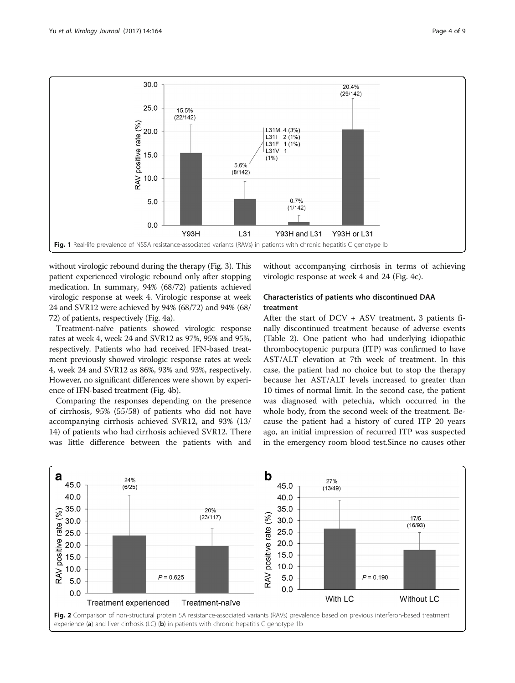<span id="page-3-0"></span>

without virologic rebound during the therapy (Fig. [3](#page-4-0)). This patient experienced virologic rebound only after stopping medication. In summary, 94% (68/72) patients achieved virologic response at week 4. Virologic response at week 24 and SVR12 were achieved by 94% (68/72) and 94% (68/ 72) of patients, respectively (Fig. [4a\)](#page-4-0).

Treatment-naïve patients showed virologic response rates at week 4, week 24 and SVR12 as 97%, 95% and 95%, respectively. Patients who had received IFN-based treatment previously showed virologic response rates at week 4, week 24 and SVR12 as 86%, 93% and 93%, respectively. However, no significant differences were shown by experience of IFN-based treatment (Fig. [4b\)](#page-4-0).

Comparing the responses depending on the presence of cirrhosis, 95% (55/58) of patients who did not have accompanying cirrhosis achieved SVR12, and 93% (13/ 14) of patients who had cirrhosis achieved SVR12. There was little difference between the patients with and

without accompanying cirrhosis in terms of achieving virologic response at week 4 and 24 (Fig. [4c](#page-4-0)).

#### Characteristics of patients who discontinued DAA treatment

After the start of DCV + ASV treatment, 3 patients finally discontinued treatment because of adverse events (Table [2](#page-5-0)). One patient who had underlying idiopathic thrombocytopenic purpura (ITP) was confirmed to have AST/ALT elevation at 7th week of treatment. In this case, the patient had no choice but to stop the therapy because her AST/ALT levels increased to greater than 10 times of normal limit. In the second case, the patient was diagnosed with petechia, which occurred in the whole body, from the second week of the treatment. Because the patient had a history of cured ITP 20 years ago, an initial impression of recurred ITP was suspected in the emergency room blood test.Since no causes other

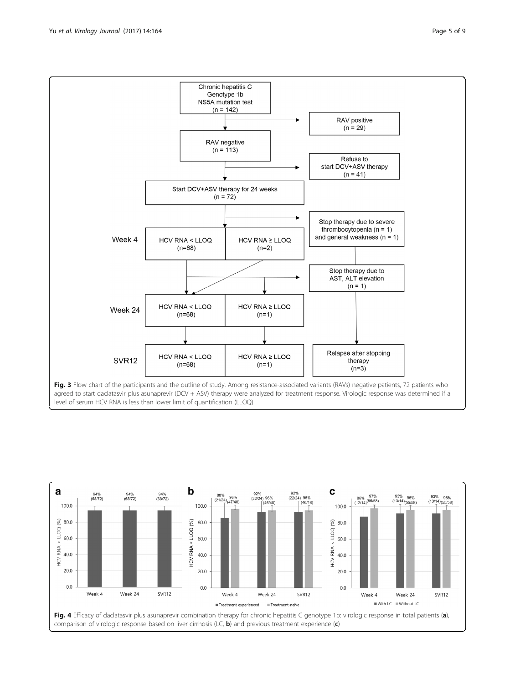<span id="page-4-0"></span>Yu et al. Virology Journal (2017) 14:164 **Page 5 of 9** Page 5 of 9



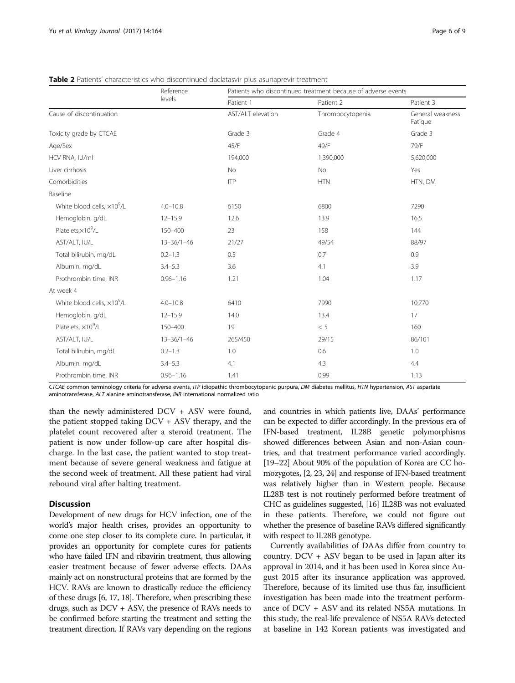|                                     | Reference<br>levels |                   | Patients who discontinued treatment because of adverse events |                             |  |
|-------------------------------------|---------------------|-------------------|---------------------------------------------------------------|-----------------------------|--|
|                                     |                     | Patient 1         | Patient 2                                                     | Patient 3                   |  |
| Cause of discontinuation            |                     | AST/ALT elevation | Thrombocytopenia                                              | General weakness<br>Fatigue |  |
| Toxicity grade by CTCAE             |                     | Grade 3           | Grade 4                                                       | Grade 3                     |  |
| Age/Sex                             |                     | 45/F              | 49/F                                                          | 79/F                        |  |
| HCV RNA, IU/ml                      |                     | 194,000           | 1,390,000                                                     | 5,620,000                   |  |
| Liver cirrhosis                     |                     | No                | No                                                            | Yes                         |  |
| Comorbidities                       |                     | <b>ITP</b>        | <b>HTN</b>                                                    | HTN, DM                     |  |
| Baseline                            |                     |                   |                                                               |                             |  |
| White blood cells, $\times 10^9$ /L | $4.0 - 10.8$        | 6150              | 6800                                                          | 7290                        |  |
| Hemoglobin, g/dL                    | $12 - 15.9$         | 12.6              | 13.9                                                          | 16.5                        |  |
| Platelets, $\times 10^9$ /L         | 150-400             | 23                | 158                                                           | 144                         |  |
| AST/ALT, IU/L                       | $13 - 36/1 - 46$    | 21/27             | 49/54                                                         | 88/97                       |  |
| Total bilirubin, mg/dL              | $0.2 - 1.3$         | 0.5               | 0.7                                                           | 0.9                         |  |
| Albumin, mg/dL                      | $3.4 - 5.3$         | 3.6               | 4.1                                                           | 3.9                         |  |
| Prothrombin time, INR               | $0.96 - 1.16$       | 1.21              | 1.04                                                          | 1.17                        |  |
| At week 4                           |                     |                   |                                                               |                             |  |
| White blood cells, $\times 10^9$ /L | $4.0 - 10.8$        | 6410              | 7990                                                          | 10,770                      |  |
| Hemoglobin, g/dL                    | $12 - 15.9$         | 14.0              | 13.4                                                          | 17                          |  |
| Platelets, ×10 <sup>9</sup> /L      | 150-400             | 19                | < 5                                                           | 160                         |  |
| AST/ALT, IU/L                       | $13 - 36/1 - 46$    | 265/450           | 29/15                                                         | 86/101                      |  |
| Total bilirubin, mg/dL              | $0.2 - 1.3$         | 1.0               | 0.6                                                           | 1.0                         |  |
| Albumin, mg/dL                      | $3.4 - 5.3$         | 4.1               | 4.3                                                           | 4.4                         |  |
| Prothrombin time, INR               | $0.96 - 1.16$       | 1.41              | 0.99                                                          | 1.13                        |  |

<span id="page-5-0"></span>Table 2 Patients' characteristics who discontinued daclatasvir plus asunaprevir treatment

CTCAE common terminology criteria for adverse events, ITP idiopathic thrombocytopenic purpura, DM diabetes mellitus, HTN hypertension, AST aspartate aminotransferase, ALT alanine aminotransferase, INR international normalized ratio

than the newly administered DCV + ASV were found, the patient stopped taking DCV + ASV therapy, and the platelet count recovered after a steroid treatment. The patient is now under follow-up care after hospital discharge. In the last case, the patient wanted to stop treatment because of severe general weakness and fatigue at the second week of treatment. All these patient had viral rebound viral after halting treatment.

#### Discussion

Development of new drugs for HCV infection, one of the world's major health crises, provides an opportunity to come one step closer to its complete cure. In particular, it provides an opportunity for complete cures for patients who have failed IFN and ribavirin treatment, thus allowing easier treatment because of fewer adverse effects. DAAs mainly act on nonstructural proteins that are formed by the HCV. RAVs are known to drastically reduce the efficiency of these drugs [\[6, 17, 18\]](#page-7-0). Therefore, when prescribing these drugs, such as DCV + ASV, the presence of RAVs needs to be confirmed before starting the treatment and setting the treatment direction. If RAVs vary depending on the regions and countries in which patients live, DAAs' performance can be expected to differ accordingly. In the previous era of IFN-based treatment, IL28B genetic polymorphisms showed differences between Asian and non-Asian countries, and that treatment performance varied accordingly. [[19](#page-7-0)–[22](#page-7-0)] About 90% of the population of Korea are CC homozygotes, [\[2, 23, 24\]](#page-7-0) and response of IFN-based treatment was relatively higher than in Western people. Because IL28B test is not routinely performed before treatment of CHC as guidelines suggested, [\[16\]](#page-7-0) IL28B was not evaluated in these patients. Therefore, we could not figure out whether the presence of baseline RAVs differed significantly with respect to IL28B genotype.

Currently availabilities of DAAs differ from country to country. DCV + ASV began to be used in Japan after its approval in 2014, and it has been used in Korea since August 2015 after its insurance application was approved. Therefore, because of its limited use thus far, insufficient investigation has been made into the treatment performance of DCV + ASV and its related NS5A mutations. In this study, the real-life prevalence of NS5A RAVs detected at baseline in 142 Korean patients was investigated and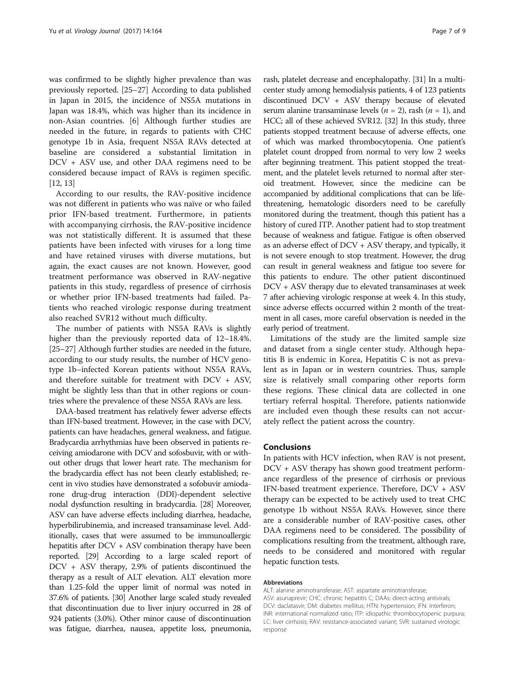was confirmed to be slightly higher prevalence than was previously reported. [\[25](#page-7-0)–[27\]](#page-7-0) According to data published in Japan in 2015, the incidence of NS5A mutations in Japan was 18.4%, which was higher than its incidence in non-Asian countries. [[6\]](#page-7-0) Although further studies are needed in the future, in regards to patients with CHC genotype 1b in Asia, frequent NS5A RAVs detected at baseline are considered a substantial limitation in DCV + ASV use, and other DAA regimens need to be considered because impact of RAVs is regimen specific. [[12](#page-7-0), [13\]](#page-7-0)

According to our results, the RAV-positive incidence was not different in patients who was naïve or who failed prior IFN-based treatment. Furthermore, in patients with accompanying cirrhosis, the RAV-positive incidence was not statistically different. It is assumed that these patients have been infected with viruses for a long time and have retained viruses with diverse mutations, but again, the exact causes are not known. However, good treatment performance was observed in RAV-negative patients in this study, regardless of presence of cirrhosis or whether prior IFN-based treatments had failed. Patients who reached virologic response during treatment also reached SVR12 without much difficulty.

The number of patients with NS5A RAVs is slightly higher than the previously reported data of 12–18.4%. [[25](#page-7-0)–[27\]](#page-7-0) Although further studies are needed in the future, according to our study results, the number of HCV genotype 1b–infected Korean patients without NS5A RAVs, and therefore suitable for treatment with DCV + ASV, might be slightly less than that in other regions or countries where the prevalence of these NS5A RAVs are less.

DAA-based treatment has relatively fewer adverse effects than IFN-based treatment. However, in the case with DCV, patients can have headaches, general weakness, and fatigue. Bradycardia arrhythmias have been observed in patients receiving amiodarone with DCV and sofosbuvir, with or without other drugs that lower heart rate. The mechanism for the bradycardia effect has not been clearly established; recent in vivo studies have demonstrated a sofobuvir amiodarone drug-drug interaction (DDI)-dependent selective nodal dysfunction resulting in bradycardia. [\[28\]](#page-7-0) Moreover, ASV can have adverse effects including diarrhea, headache, hyperbilirubinemia, and increased transaminase level. Additionally, cases that were assumed to be immunoallergic hepatitis after DCV + ASV combination therapy have been reported. [\[29](#page-7-0)] According to a large scaled report of DCV + ASV therapy, 2.9% of patients discontinued the therapy as a result of ALT elevation. ALT elevation more than 1.25-fold the upper limit of normal was noted in 37.6% of patients. [\[30](#page-7-0)] Another large scaled study revealed that discontinuation due to liver injury occurred in 28 of 924 patients (3.0%). Other minor cause of discontinuation was fatigue, diarrhea, nausea, appetite loss, pneumonia,

rash, platelet decrease and encephalopathy. [\[31\]](#page-7-0) In a multicenter study among hemodialysis patients, 4 of 123 patients discontinued DCV + ASV therapy because of elevated serum alanine transaminase levels ( $n = 2$ ), rash ( $n = 1$ ), and HCC; all of these achieved SVR12. [\[32](#page-8-0)] In this study, three patients stopped treatment because of adverse effects, one of which was marked thrombocytopenia. One patient's platelet count dropped from normal to very low 2 weeks after beginning treatment. This patient stopped the treatment, and the platelet levels returned to normal after steroid treatment. However, since the medicine can be accompanied by additional complications that can be lifethreatening, hematologic disorders need to be carefully monitored during the treatment, though this patient has a history of cured ITP. Another patient had to stop treatment because of weakness and fatigue. Fatigue is often observed as an adverse effect of DCV + ASV therapy, and typically, it is not severe enough to stop treatment. However, the drug can result in general weakness and fatigue too severe for this patients to endure. The other patient discontinued DCV + ASV therapy due to elevated transaminases at week 7 after achieving virologic response at week 4. In this study, since adverse effects occurred within 2 month of the treatment in all cases, more careful observation is needed in the early period of treatment.

Limitations of the study are the limited sample size and dataset from a single center study. Although hepatitis B is endemic in Korea, Hepatitis C is not as prevalent as in Japan or in western countries. Thus, sample size is relatively small comparing other reports form these regions. These clinical data are collected in one tertiary referral hospital. Therefore, patients nationwide are included even though these results can not accurately reflect the patient across the country.

#### Conclusions

In patients with HCV infection, when RAV is not present, DCV + ASV therapy has shown good treatment performance regardless of the presence of cirrhosis or previous IFN-based treatment experience. Therefore, DCV + ASV therapy can be expected to be actively used to treat CHC genotype 1b without NS5A RAVs. However, since there are a considerable number of RAV-positive cases, other DAA regimens need to be considered. The possibility of complications resulting from the treatment, although rare, needs to be considered and monitored with regular hepatic function tests.

#### Abbreviations

ALT: alanine aminotransferase; AST: aspartate aminotransferase; ASV: asunaprevir; CHC: chronic hepatitis C; DAAs: direct-acting antivirals; DCV: daclatasvir; DM: diabetes mellitus; HTN: hypertension; IFN: Interferon; INR: international normalized ratio; ITP: idiopathic thrombocytopenic purpura; LC: liver cirrhosis; RAV: resistance-associated variant; SVR: sustained virologic response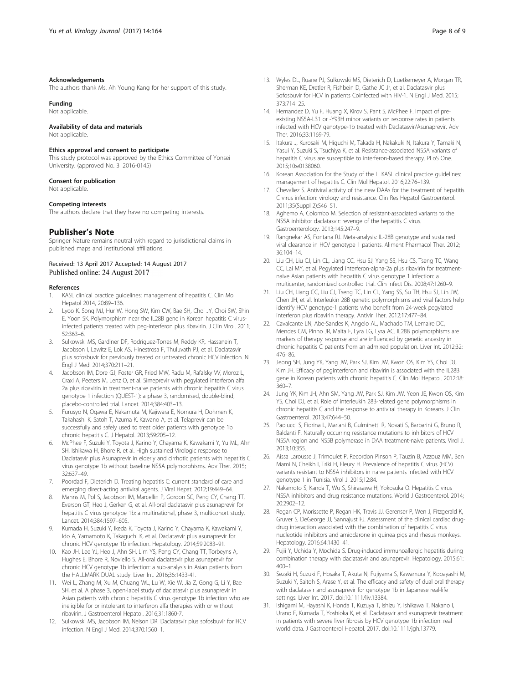#### <span id="page-7-0"></span>Acknowledgements

The authors thank Ms. Ah Young Kang for her support of this study.

#### Funding

Not applicable.

#### Availability of data and materials

Not applicable.

#### Ethics approval and consent to participate

This study protocol was approved by the Ethics Committee of Yonsei University. (approved No. 3–2016-0145)

#### Consent for publication

Not applicable.

#### Competing interests

The authors declare that they have no competing interests.

#### Publisher's Note

Springer Nature remains neutral with regard to jurisdictional claims in published maps and institutional affiliations.

#### Received: 13 April 2017 Accepted: 14 August 2017 Published online: 24 August 2017

#### References

- KASL clinical practice guidelines: management of hepatitis C. Clin Mol Hepatol 2014, 20:89–136.
- 2. Lyoo K, Song MJ, Hur W, Hong SW, Kim CW, Bae SH, Choi JY, Choi SW, Shin E, Yoon SK. Polymorphism near the IL28B gene in Korean hepatitis C virusinfected patients treated with peg-interferon plus ribavirin. J Clin Virol. 2011; 52:363–6.
- Sulkowski MS, Gardiner DF, Rodriguez-Torres M, Reddy KR, Hassanein T, Jacobson I, Lawitz E, Lok AS, Hinestrosa F, Thuluvath PJ, et al. Daclatasvir plus sofosbuvir for previously treated or untreated chronic HCV infection. N Engl J Med. 2014;370:211–21.
- Jacobson IM, Dore GJ, Foster GR, Fried MW, Radu M, Rafalsky W, Moroz L, Craxi A, Peeters M, Lenz O, et al. Simeprevir with pegylated interferon alfa 2a plus ribavirin in treatment-naive patients with chronic hepatitis C virus genotype 1 infection (QUEST-1): a phase 3, randomised, double-blind, placebo-controlled trial. Lancet. 2014;384:403–13.
- 5. Furusyo N, Ogawa E, Nakamuta M, Kajiwara E, Nomura H, Dohmen K, Takahashi K, Satoh T, Azuma K, Kawano A, et al. Telaprevir can be successfully and safely used to treat older patients with genotype 1b chronic hepatitis C. J Hepatol. 2013;59:205–12.
- 6. McPhee F, Suzuki Y, Toyota J, Karino Y, Chayama K, Kawakami Y, Yu ML, Ahn SH, Ishikawa H, Bhore R, et al. High sustained Virologic response to Daclatasvir plus Asunaprevir in elderly and cirrhotic patients with hepatitis C virus genotype 1b without baseline NS5A polymorphisms. Adv Ther. 2015; 32:637–49.
- 7. Poordad F, Dieterich D. Treating hepatitis C: current standard of care and emerging direct-acting antiviral agents. J Viral Hepat. 2012;19:449–64.
- 8. Manns M, Pol S, Jacobson IM, Marcellin P, Gordon SC, Peng CY, Chang TT, Everson GT, Heo J, Gerken G, et al. All-oral daclatasvir plus asunaprevir for hepatitis C virus genotype 1b: a multinational, phase 3, multicohort study. Lancet. 2014;384:1597–605.
- Kumada H, Suzuki Y, Ikeda K, Toyota J, Karino Y, Chayama K, Kawakami Y, Ido A, Yamamoto K, Takaguchi K, et al. Daclatasvir plus asunaprevir for chronic HCV genotype 1b infection. Hepatology. 2014;59:2083–91.
- 10. Kao JH, Lee YJ, Heo J, Ahn SH, Lim YS, Peng CY, Chang TT, Torbeyns A, Hughes E, Bhore R, Noviello S. All-oral daclatasvir plus asunaprevir for chronic HCV genotype 1b infection: a sub-analysis in Asian patients from the HALLMARK DUAL study. Liver Int. 2016;36:1433-41.
- 11. Wei L, Zhang M, Xu M, Chuang WL, Lu W, Xie W, Jia Z, Gong G, Li Y, Bae SH, et al. A phase 3, open-label study of daclatasvir plus asunaprevir in Asian patients with chronic hepatitis C virus genotype 1b infection who are ineligible for or intolerant to interferon alfa therapies with or without ribavirin. J Gastroenterol Hepatol. 2016;31:1860-7.
- 12. Sulkowski MS, Jacobson IM, Nelson DR. Daclatasvir plus sofosbuvir for HCV infection. N Engl J Med. 2014;370:1560–1.
- 13. Wyles DL, Ruane PJ, Sulkowski MS, Dieterich D, Luetkemeyer A, Morgan TR, Sherman KE, Dretler R, Fishbein D, Gathe JC Jr, et al. Daclatasvir plus Sofosbuvir for HCV in patients Coinfected with HIV-1. N Engl J Med. 2015; 373:714–25.
- 14. Hernandez D, Yu F, Huang X, Kirov S, Pant S, McPhee F. Impact of preexisting NS5A-L31 or -Y93H minor variants on response rates in patients infected with HCV genotype-1b treated with Daclatasvir/Asunaprevir. Adv Ther. 2016;33:1169-79.
- 15. Itakura J, Kurosaki M, Higuchi M, Takada H, Nakakuki N, Itakura Y, Tamaki N, Yasui Y, Suzuki S, Tsuchiya K, et al. Resistance-associated NS5A variants of hepatitis C virus are susceptible to interferon-based therapy. PLoS One. 2015;10:e0138060.
- 16. Korean Association for the Study of the L. KASL clinical practice guidelines: management of hepatitis C. Clin Mol Hepatol. 2016;22:76–139.
- 17. Chevaliez S. Antiviral activity of the new DAAs for the treatment of hepatitis C virus infection: virology and resistance. Clin Res Hepatol Gastroenterol. 2011;35(Suppl 2):S46–51.
- 18. Aghemo A, Colombo M. Selection of resistant-associated variants to the NS5A inhibitor daclatasvir: revenge of the hepatitis C virus. Gastroenterology. 2013;145:247–9.
- 19. Rangnekar AS, Fontana RJ. Meta-analysis: IL-28B genotype and sustained viral clearance in HCV genotype 1 patients. Aliment Pharmacol Ther. 2012; 36:104–14.
- 20. Liu CH, Liu CJ, Lin CL, Liang CC, Hsu SJ, Yang SS, Hsu CS, Tseng TC, Wang CC, Lai MY, et al. Pegylated interferon-alpha-2a plus ribavirin for treatmentnaive Asian patients with hepatitis C virus genotype 1 infection: a multicenter, randomized controlled trial. Clin Infect Dis. 2008;47:1260–9.
- 21. Liu CH, Liang CC, Liu CJ, Tseng TC, Lin CL, Yang SS, Su TH, Hsu SJ, Lin JW, Chen JH, et al. Interleukin 28B genetic polymorphisms and viral factors help identify HCV genotype-1 patients who benefit from 24-week pegylated interferon plus ribavirin therapy. Antivir Ther. 2012;17:477–84.
- 22. Cavalcante LN, Abe-Sandes K, Angelo AL, Machado TM, Lemaire DC, Mendes CM, Pinho JR, Malta F, Lyra LG, Lyra AC. IL28B polymorphisms are markers of therapy response and are influenced by genetic ancestry in chronic hepatitis C patients from an admixed population. Liver Int. 2012;32: 476–86.
- 23. Jeong SH, Jung YK, Yang JW, Park SJ, Kim JW, Kwon OS, Kim YS, Choi DJ, Kim JH. Efficacy of peginterferon and ribavirin is associated with the IL28B gene in Korean patients with chronic hepatitis C. Clin Mol Hepatol. 2012;18: 360–7.
- 24. Jung YK, Kim JH, Ahn SM, Yang JW, Park SJ, Kim JW, Yeon JE, Kwon OS, Kim YS, Choi DJ, et al. Role of interleukin 28B-related gene polymorphisms in chronic hepatitis C and the response to antiviral therapy in Koreans. J Clin Gastroenterol. 2013;47:644–50.
- 25. Paolucci S, Fiorina L, Mariani B, Gulminetti R, Novati S, Barbarini G, Bruno R, Baldanti F. Naturally occurring resistance mutations to inhibitors of HCV NS5A region and NS5B polymerase in DAA treatment-naive patients. Virol J. 2013;10:355.
- 26. Aissa Larousse J, Trimoulet P, Recordon Pinson P, Tauzin B, Azzouz MM, Ben Mami N, Cheikh I, Triki H, Fleury H. Prevalence of hepatitis C virus (HCV) variants resistant to NS5A inhibitors in naive patients infected with HCV genotype 1 in Tunisia. Virol J. 2015;12:84.
- 27. Nakamoto S, Kanda T, Wu S, Shirasawa H, Yokosuka O. Hepatitis C virus NS5A inhibitors and drug resistance mutations. World J Gastroenterol. 2014; 20:2902–12.
- 28. Regan CP, Morissette P, Regan HK, Travis JJ, Gerenser P, Wen J, Fitzgerald K, Gruver S, DeGeorge JJ, Sannajust FJ. Assessment of the clinical cardiac drugdrug interaction associated with the combination of hepatitis C virus nucleotide inhibitors and amiodarone in guinea pigs and rhesus monkeys. Hepatology. 2016;64:1430–41.
- 29. Fujii Y, Uchida Y, Mochida S. Drug-induced immunoallergic hepatitis during combination therapy with daclatasvir and asunaprevir. Hepatology. 2015;61: 400–1.
- 30. Sezaki H, Suzuki F, Hosaka T, Akuta N, Fujiyama S, Kawamura Y, Kobayashi M, Suzuki Y, Saitoh S, Arase Y, et al. The efficacy and safety of dual oral therapy with daclatasvir and asunaprevir for genotype 1b in Japanese real-life settings. Liver Int. 2017. doi:[10.1111/liv.13384](http://dx.doi.org/10.1111/liv.13384).
- 31. Ishigami M, Hayashi K, Honda T, Kuzuya T, Ishizu Y, Ishikawa T, Nakano I, Urano F, Kumada T, Yoshioka K, et al. Daclatasvir and asunaprevir treatment in patients with severe liver fibrosis by HCV genotype 1b infection: real world data. J Gastroenterol Hepatol. 2017. doi:[10.1111/jgh.13779](http://dx.doi.org/10.1111/jgh.13779).